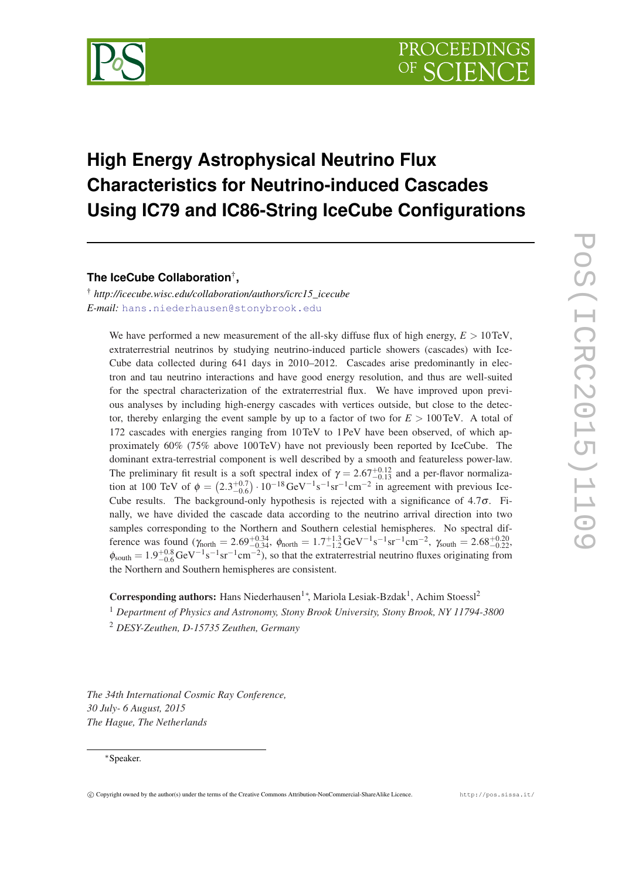

## **High Energy Astrophysical Neutrino Flux Characteristics for Neutrino-induced Cascades Using IC79 and IC86-String IceCube Configurations**

**The IceCube Collaboration**† **,**

† *http://icecube.wisc.edu/collaboration/authors/icrc15\_icecube E-mail:* [hans.niederhausen@stonybrook.edu](mailto:hans.niederhausen@stonybrook.edu)

We have performed a new measurement of the all-sky diffuse flux of high energy,  $E > 10$  TeV, extraterrestrial neutrinos by studying neutrino-induced particle showers (cascades) with Ice-Cube data collected during 641 days in 2010–2012. Cascades arise predominantly in electron and tau neutrino interactions and have good energy resolution, and thus are well-suited for the spectral characterization of the extraterrestrial flux. We have improved upon previous analyses by including high-energy cascades with vertices outside, but close to the detector, thereby enlarging the event sample by up to a factor of two for  $E > 100 \text{ TeV}$ . A total of 172 cascades with energies ranging from 10TeV to 1PeV have been observed, of which approximately 60% (75% above 100TeV) have not previously been reported by IceCube. The dominant extra-terrestrial component is well described by a smooth and featureless power-law. The preliminary fit result is a soft spectral index of  $\gamma = 2.67^{+0.12}_{-0.13}$  and a per-flavor normalization at 100 TeV of  $\phi = (2.3^{+0.7}_{-0.6}) \cdot 10^{-18} \text{ GeV}^{-1} \text{s}^{-1} \text{sr}^{-1} \text{cm}^{-2}$  in agreement with previous Ice-Cube results. The background-only hypothesis is rejected with a significance of  $4.7\sigma$ . Finally, we have divided the cascade data according to the neutrino arrival direction into two samples corresponding to the Northern and Southern celestial hemispheres. No spectral difference was found  $(\gamma_{\text{north}} = 2.69^{+0.34}_{-0.34}, \ \phi_{\text{north}} = 1.7^{+1.3}_{-1.2} \,\text{GeV}^{-1}\text{s}^{-1}\text{sr}^{-1}\text{cm}^{-2}, \ \gamma_{\text{south}} = 2.68^{+0.20}_{-0.22}$  $\phi_{\text{south}} = 1.9_{-0.6}^{+0.8} \text{GeV}^{-1} \text{s}^{-1} \text{sr}^{-1} \text{cm}^{-2}$ ), so that the extraterrestrial neutrino fluxes originating from the Northern and Southern hemispheres are consistent.

Corresponding authors: Hans Niederhausen<sup>1</sup>\*, Mariola Lesiak-Bzdak<sup>1</sup>, Achim Stoessl<sup>2</sup>

<sup>1</sup> *Department of Physics and Astronomy, Stony Brook University, Stony Brook, NY 11794-3800* <sup>2</sup> *DESY-Zeuthen, D-15735 Zeuthen, Germany*

*The 34th International Cosmic Ray Conference, 30 July- 6 August, 2015 The Hague, The Netherlands*

## <sup>∗</sup>Speaker.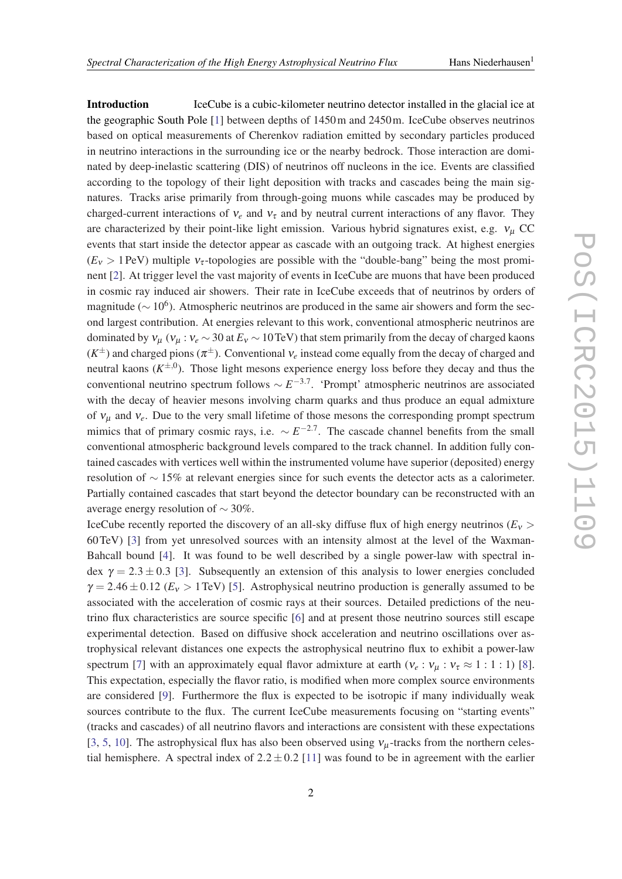Introduction IceCube is a cubic-kilometer neutrino detector installed in the glacial ice at the geographic South Pole [\[1\]](#page-7-0) between depths of 1450m and 2450m. IceCube observes neutrinos based on optical measurements of Cherenkov radiation emitted by secondary particles produced in neutrino interactions in the surrounding ice or the nearby bedrock. Those interaction are dominated by deep-inelastic scattering (DIS) of neutrinos off nucleons in the ice. Events are classified according to the topology of their light deposition with tracks and cascades being the main signatures. Tracks arise primarily from through-going muons while cascades may be produced by charged-current interactions of  $v_e$  and  $v_\tau$  and by neutral current interactions of any flavor. They are characterized by their point-like light emission. Various hybrid signatures exist, e.g.  $v_{\mu}$  CC events that start inside the detector appear as cascade with an outgoing track. At highest energies  $(E<sub>v</sub> > 1$  PeV) multiple  $v<sub>z</sub>$ -topologies are possible with the "double-bang" being the most prominent [\[2\]](#page-7-0). At trigger level the vast majority of events in IceCube are muons that have been produced in cosmic ray induced air showers. Their rate in IceCube exceeds that of neutrinos by orders of magnitude ( $\sim 10^6$ ). Atmospheric neutrinos are produced in the same air showers and form the second largest contribution. At energies relevant to this work, conventional atmospheric neutrinos are dominated by  $v_{\mu}$  ( $v_{\mu}$  :  $v_e \sim 30$  at  $E_v \sim 10 \text{ TeV}$ ) that stem primarily from the decay of charged kaons  $(K^{\pm})$  and charged pions  $(\pi^{\pm})$ . Conventional  $v_e$  instead come equally from the decay of charged and neutral kaons  $(K^{\pm,0})$ . Those light mesons experience energy loss before they decay and thus the conventional neutrino spectrum follows ∼ *E* −3.7 . 'Prompt' atmospheric neutrinos are associated with the decay of heavier mesons involving charm quarks and thus produce an equal admixture of ν<sup>µ</sup> and ν*e*. Due to the very small lifetime of those mesons the corresponding prompt spectrum mimics that of primary cosmic rays, i.e.  $\sim E^{-2.7}$ . The cascade channel benefits from the small conventional atmospheric background levels compared to the track channel. In addition fully contained cascades with vertices well within the instrumented volume have superior (deposited) energy resolution of ∼ 15% at relevant energies since for such events the detector acts as a calorimeter. Partially contained cascades that start beyond the detector boundary can be reconstructed with an average energy resolution of  $\sim$  30%.

IceCube recently reported the discovery of an all-sky diffuse flux of high energy neutrinos ( $E_v$ ) 60TeV) [[3](#page-7-0)] from yet unresolved sources with an intensity almost at the level of the Waxman-Bahcall bound [[4](#page-7-0)]. It was found to be well described by a single power-law with spectral index  $\gamma = 2.3 \pm 0.3$  [\[3\]](#page-7-0). Subsequently an extension of this analysis to lower energies concluded  $\gamma = 2.46 \pm 0.12$  ( $E_v > 1$  TeV) [[5](#page-7-0)]. Astrophysical neutrino production is generally assumed to be associated with the acceleration of cosmic rays at their sources. Detailed predictions of the neutrino flux characteristics are source specific [[6](#page-7-0)] and at present those neutrino sources still escape experimental detection. Based on diffusive shock acceleration and neutrino oscillations over astrophysical relevant distances one expects the astrophysical neutrino flux to exhibit a power-law spectrum [[7](#page-7-0)] with an approximately equal flavor admixture at earth ( $v_e : v_\mu : v_\tau \approx 1 : 1 : 1$ ) [\[8\]](#page-7-0). This expectation, especially the flavor ratio, is modified when more complex source environments are considered [\[9\]](#page-7-0). Furthermore the flux is expected to be isotropic if many individually weak sources contribute to the flux. The current IceCube measurements focusing on "starting events" (tracks and cascades) of all neutrino flavors and interactions are consistent with these expectations [[3](#page-7-0), [5,](#page-7-0) [10](#page-7-0)]. The astrophysical flux has also been observed using  $v_u$ -tracks from the northern celestial hemisphere. A spectral index of  $2.2 \pm 0.2$  [[11\]](#page-7-0) was found to be in agreement with the earlier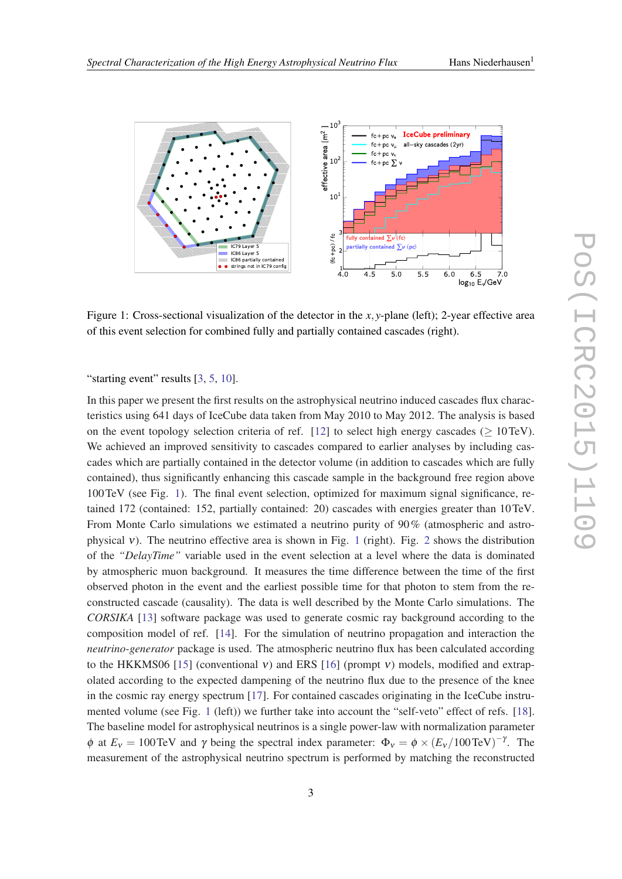

Figure 1: Cross-sectional visualization of the detector in the *x*, *y*-plane (left); 2-year effective area of this event selection for combined fully and partially contained cascades (right).

"starting event" results [\[3,](#page-7-0) [5,](#page-7-0) [10\]](#page-7-0).

In this paper we present the first results on the astrophysical neutrino induced cascades flux characteristics using 641 days of IceCube data taken from May 2010 to May 2012. The analysis is based on the event topology selection criteria of ref. [\[12](#page-7-0)] to select high energy cascades ( $\geq 10 \text{TeV}$ ). We achieved an improved sensitivity to cascades compared to earlier analyses by including cascades which are partially contained in the detector volume (in addition to cascades which are fully contained), thus significantly enhancing this cascade sample in the background free region above 100TeV (see Fig. 1). The final event selection, optimized for maximum signal significance, retained 172 (contained: 152, partially contained: 20) cascades with energies greater than 10TeV. From Monte Carlo simulations we estimated a neutrino purity of 90% (atmospheric and astro-physical v). The neutrino effective area is shown in Fig. 1 (right). Fig. [2](#page-3-0) shows the distribution of the *"DelayTime"* variable used in the event selection at a level where the data is dominated by atmospheric muon background. It measures the time difference between the time of the first observed photon in the event and the earliest possible time for that photon to stem from the reconstructed cascade (causality). The data is well described by the Monte Carlo simulations. The *CORSIKA* [[13](#page-7-0)] software package was used to generate cosmic ray background according to the composition model of ref. [\[14\]](#page-7-0). For the simulation of neutrino propagation and interaction the *neutrino-generator* package is used. The atmospheric neutrino flux has been calculated according to the HKKMS06 [[15\]](#page-7-0) (conventional v) and ERS [\[16\]](#page-7-0) (prompt v) models, modified and extrapolated according to the expected dampening of the neutrino flux due to the presence of the knee in the cosmic ray energy spectrum [\[17](#page-7-0)]. For contained cascades originating in the IceCube instrumented volume (see Fig. 1 (left)) we further take into account the "self-veto" effect of refs. [[18\]](#page-7-0). The baseline model for astrophysical neutrinos is a single power-law with normalization parameter  $\phi$  at  $E_v = 100 \text{ TeV}$  and  $\gamma$  being the spectral index parameter:  $\Phi_v = \phi \times (E_v / 100 \text{ TeV})^{-\gamma}$ . The measurement of the astrophysical neutrino spectrum is performed by matching the reconstructed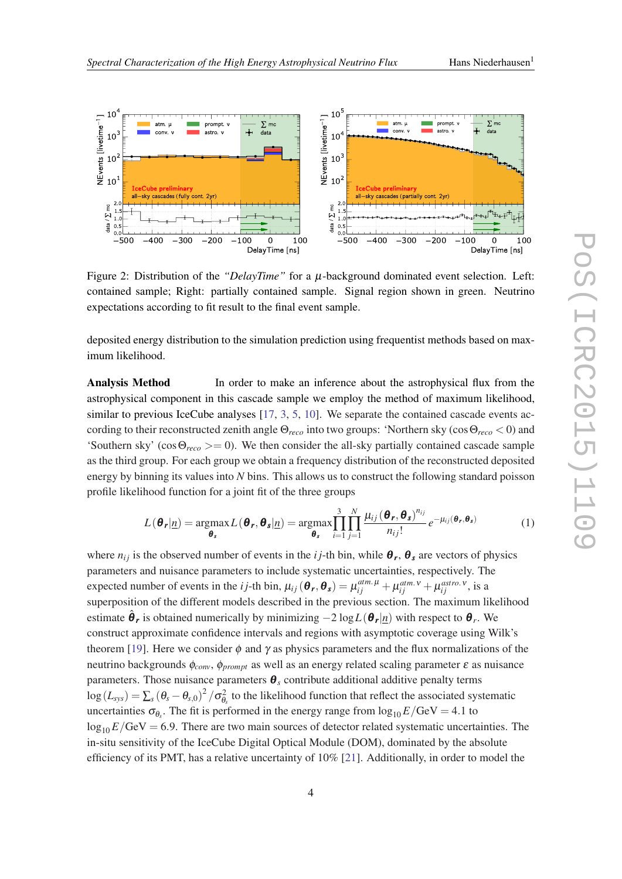<span id="page-3-0"></span>

Figure 2: Distribution of the *"DelayTime"* for a µ-background dominated event selection. Left: contained sample; Right: partially contained sample. Signal region shown in green. Neutrino expectations according to fit result to the final event sample.

deposited energy distribution to the simulation prediction using frequentist methods based on maximum likelihood.

Analysis Method In order to make an inference about the astrophysical flux from the astrophysical component in this cascade sample we employ the method of maximum likelihood, similar to previous IceCube analyses [[17,](#page-7-0) [3](#page-7-0), [5](#page-7-0), [10](#page-7-0)]. We separate the contained cascade events according to their reconstructed zenith angle Θ*reco* into two groups: 'Northern sky (cosΘ*reco* < 0) and 'Southern sky' ( $\cos\Theta_{reco}$  > = 0). We then consider the all-sky partially contained cascade sample as the third group. For each group we obtain a frequency distribution of the reconstructed deposited energy by binning its values into *N* bins. This allows us to construct the following standard poisson profile likelihood function for a joint fit of the three groups

$$
L(\boldsymbol{\theta_r}|\underline{n}) = \underset{\boldsymbol{\theta_s}}{\text{argmax}} L(\boldsymbol{\theta_r}, \boldsymbol{\theta_s}|\underline{n}) = \underset{\boldsymbol{\theta_s}}{\text{argmax}} \prod_{i=1}^{3} \prod_{j=1}^{N} \frac{\mu_{ij}(\boldsymbol{\theta_r}, \boldsymbol{\theta_s})^{n_{ij}}}{n_{ij}!} e^{-\mu_{ij}(\boldsymbol{\theta_r}, \boldsymbol{\theta_s})}
$$
(1)

where  $n_{ij}$  is the observed number of events in the *i j*-th bin, while  $\theta_r$ ,  $\theta_s$  are vectors of physics parameters and nuisance parameters to include systematic uncertainties, respectively. The expected number of events in the *i j*-th bin,  $\mu_{ij}(\theta_r, \theta_s) = \mu_{ij}^{atm. \mu} + \mu_{ij}^{atm. \nu} + \mu_{ij}^{astro. \nu}$ , is a superposition of the different models described in the previous section. The maximum likelihood estimate  $\hat{\bm{\theta}}_r$  is obtained numerically by minimizing  $-2\log L(\bm{\theta}_r | \underline{n})$  with respect to  $\bm{\theta}_r$ . We construct approximate confidence intervals and regions with asymptotic coverage using Wilk's theorem [\[19](#page-7-0)]. Here we consider  $\phi$  and  $\gamma$  as physics parameters and the flux normalizations of the neutrino backgrounds φ*conv*, φ*prompt* as well as an energy related scaling parameter ε as nuisance parameters. Those nuisance parameters  $\boldsymbol{\theta}_s$  contribute additional additive penalty terms  $\log(L_{sys}) = \sum_s (\theta_s - \theta_{s,0})^2 / \sigma_{\theta_s}^2$  to the likelihood function that reflect the associated systematic uncertainties  $\sigma_{\theta_s}$ . The fit is performed in the energy range from  $\log_{10} E/\text{GeV} = 4.1$  to  $\log_{10} E/\text{GeV} = 6.9$ . There are two main sources of detector related systematic uncertainties. The in-situ sensitivity of the IceCube Digital Optical Module (DOM), dominated by the absolute efficiency of its PMT, has a relative uncertainty of 10% [\[21](#page-7-0)]. Additionally, in order to model the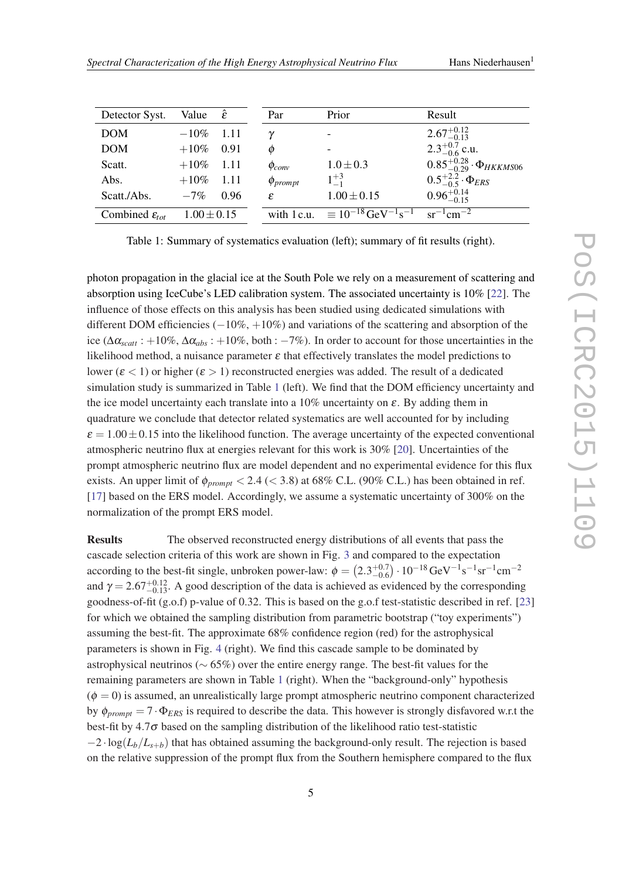| Detector Syst.               | Value $\hat{\varepsilon}$ |         | Par             | Prior                                                                                        | Result                                      |
|------------------------------|---------------------------|---------|-----------------|----------------------------------------------------------------------------------------------|---------------------------------------------|
| <b>DOM</b>                   | $-10\%$ 1.11              |         | $\gamma$        | $\overline{\phantom{a}}$                                                                     | $2.67^{+0.12}_{-0.13}$                      |
| <b>DOM</b>                   | $+10\%$ 0.91              |         | Ø               | $\overline{\phantom{a}}$                                                                     | $2.3^{+0.7}_{-0.6}$ c.u.                    |
| Scatt.                       | $+10\%$ 1.11              |         | $\phi_{conv}$   | $1.0 \pm 0.3$                                                                                | $0.85_{-0.29}^{+0.28} \cdot \Phi_{HKKMS06}$ |
| Abs.                         | $+10\%$                   | $-1.11$ | $\phi_{prompt}$ | $1^{+3}$                                                                                     | $0.5^{+2.2}_{-0.5} \cdot \Phi_{ERS}$        |
| Scatt./Abs.                  | $-7%$                     | 0.96    | £.              | $1.00 \pm 0.15$                                                                              | $0.96^{+0.14}_{-0.15}$                      |
| Combined $\varepsilon_{tot}$ | $1.00 \pm 0.15$           |         |                 | with 1 c.u. $\equiv 10^{-18} \text{ GeV}^{-1} \text{s}^{-1} \text{ sr}^{-1} \text{ cm}^{-2}$ |                                             |

Table 1: Summary of systematics evaluation (left); summary of fit results (right).

photon propagation in the glacial ice at the South Pole we rely on a measurement of scattering and absorption using IceCube's LED calibration system. The associated uncertainty is 10% [\[22\]](#page-7-0). The influence of those effects on this analysis has been studied using dedicated simulations with different DOM efficiencies  $(-10\%, +10\%)$  and variations of the scattering and absorption of the ice ( $\Delta \alpha_{scatt}$ : +10%,  $\Delta \alpha_{abs}$ : +10%, both: −7%). In order to account for those uncertainties in the likelihood method, a nuisance parameter  $\varepsilon$  that effectively translates the model predictions to lower ( $\epsilon$  < 1) or higher ( $\epsilon$  > 1) reconstructed energies was added. The result of a dedicated simulation study is summarized in Table 1 (left). We find that the DOM efficiency uncertainty and the ice model uncertainty each translate into a  $10\%$  uncertainty on  $\varepsilon$ . By adding them in quadrature we conclude that detector related systematics are well accounted for by including  $\varepsilon = 1.00 \pm 0.15$  into the likelihood function. The average uncertainty of the expected conventional atmospheric neutrino flux at energies relevant for this work is 30% [\[20](#page-7-0)]. Uncertainties of the prompt atmospheric neutrino flux are model dependent and no experimental evidence for this flux exists. An upper limit of  $\phi_{prompt} < 2.4$  ( $<$  3.8) at 68% C.L. (90% C.L.) has been obtained in ref. [[17\]](#page-7-0) based on the ERS model. Accordingly, we assume a systematic uncertainty of 300% on the normalization of the prompt ERS model.

Results The observed reconstructed energy distributions of all events that pass the cascade selection criteria of this work are shown in Fig. [3](#page-5-0) and compared to the expectation according to the best-fit single, unbroken power-law:  $\phi = (2.3^{+0.7}_{-0.6}) \cdot 10^{-18} \text{ GeV}^{-1} \text{s}^{-1} \text{sr}^{-1} \text{cm}^{-2}$ and  $\gamma = 2.67^{+0.12}_{-0.13}$ . A good description of the data is achieved as evidenced by the corresponding goodness-of-fit (g.o.f) p-value of 0.32. This is based on the g.o.f test-statistic described in ref. [\[23](#page-7-0)] for which we obtained the sampling distribution from parametric bootstrap ("toy experiments") assuming the best-fit. The approximate 68% confidence region (red) for the astrophysical parameters is shown in Fig. [4](#page-6-0) (right). We find this cascade sample to be dominated by astrophysical neutrinos (∼ 65%) over the entire energy range. The best-fit values for the remaining parameters are shown in Table 1 (right). When the "background-only" hypothesis  $(\phi = 0)$  is assumed, an unrealistically large prompt atmospheric neutrino component characterized by  $\phi_{prompt} = 7 \cdot \Phi_{ERS}$  is required to describe the data. This however is strongly disfavored w.r.t the best-fit by  $4.7\sigma$  based on the sampling distribution of the likelihood ratio test-statistic  $-2 \cdot \log(L_b/L_{s+b})$  that has obtained assuming the background-only result. The rejection is based on the relative suppression of the prompt flux from the Southern hemisphere compared to the flux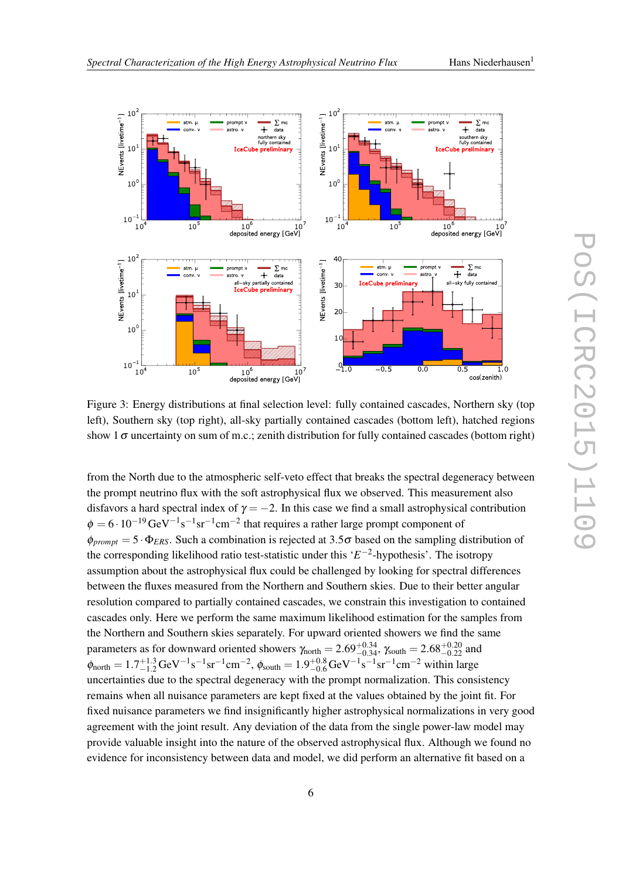<span id="page-5-0"></span>

Figure 3: Energy distributions at final selection level: fully contained cascades, Northern sky (top left), Southern sky (top right), all-sky partially contained cascades (bottom left), hatched regions show 1 $\sigma$  uncertainty on sum of m.c.; zenith distribution for fully contained cascades (bottom right)

from the North due to the atmospheric self-veto effect that breaks the spectral degeneracy between the prompt neutrino flux with the soft astrophysical flux we observed. This measurement also disfavors a hard spectral index of  $\gamma = -2$ . In this case we find a small astrophysical contribution  $\phi = 6 \cdot 10^{-19} \text{GeV}^{-1} \text{s}^{-1} \text{sr}^{-1} \text{cm}^{-2}$  that requires a rather large prompt component of  $\phi_{prompt} = 5 \cdot \Phi_{ERS}$ . Such a combination is rejected at 3.5 $\sigma$  based on the sampling distribution of the corresponding likelihood ratio test-statistic under this '*E* −2 -hypothesis'. The isotropy assumption about the astrophysical flux could be challenged by looking for spectral differences between the fluxes measured from the Northern and Southern skies. Due to their better angular resolution compared to partially contained cascades, we constrain this investigation to contained cascades only. Here we perform the same maximum likelihood estimation for the samples from the Northern and Southern skies separately. For upward oriented showers we find the same parameters as for downward oriented showers  $\gamma_{\text{north}} = 2.69_{-0.34}^{+0.34}$ ,  $\gamma_{\text{south}} = 2.68_{-0.22}^{+0.20}$  and  $\phi_{\text{north}} = 1.7_{-1.2}^{+1.3} \text{GeV}^{-1} \text{s}^{-1} \text{sr}^{-1} \text{cm}^{-2}, \phi_{\text{south}} = 1.9_{-0.6}^{+0.8} \text{GeV}^{-1} \text{s}^{-1} \text{sr}^{-1} \text{cm}^{-2}$  within large uncertainties due to the spectral degeneracy with the prompt normalization. This consistency remains when all nuisance parameters are kept fixed at the values obtained by the joint fit. For fixed nuisance parameters we find insignificantly higher astrophysical normalizations in very good agreement with the joint result. Any deviation of the data from the single power-law model may provide valuable insight into the nature of the observed astrophysical flux. Although we found no evidence for inconsistency between data and model, we did perform an alternative fit based on a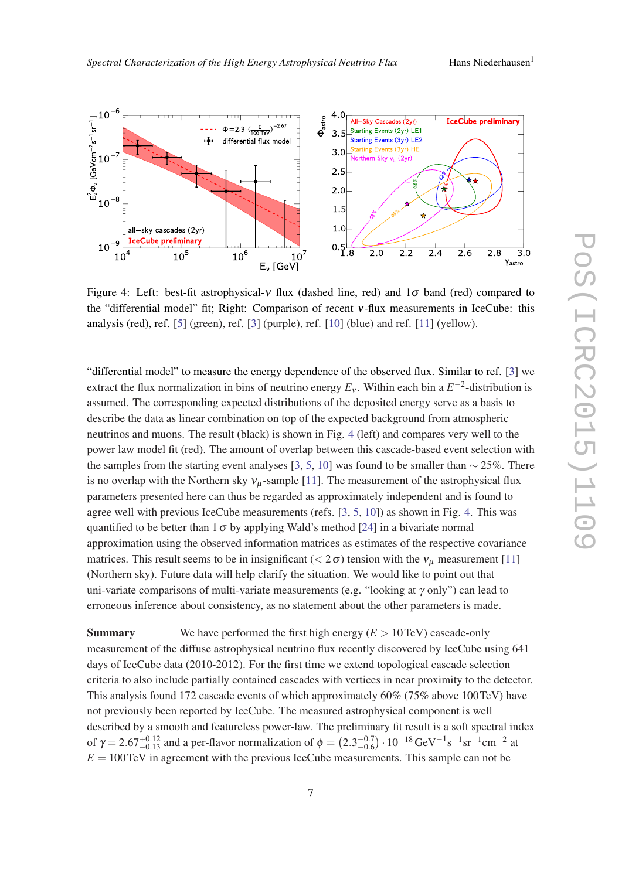<span id="page-6-0"></span>

Figure 4: Left: best-fit astrophysical-v flux (dashed line, red) and  $1\sigma$  band (red) compared to the "differential model" fit; Right: Comparison of recent ν-flux measurements in IceCube: this analysis (red), ref. [[5](#page-7-0)] (green), ref. [\[3\]](#page-7-0) (purple), ref. [[10](#page-7-0)] (blue) and ref. [[11\]](#page-7-0) (yellow).

"differential model" to measure the energy dependence of the observed flux. Similar to ref. [\[3\]](#page-7-0) we extract the flux normalization in bins of neutrino energy  $E_v$ . Within each bin a  $E^{-2}$ -distribution is assumed. The corresponding expected distributions of the deposited energy serve as a basis to describe the data as linear combination on top of the expected background from atmospheric neutrinos and muons. The result (black) is shown in Fig. 4 (left) and compares very well to the power law model fit (red). The amount of overlap between this cascade-based event selection with the samples from the starting event analyses [[3](#page-7-0), [5](#page-7-0), [10\]](#page-7-0) was found to be smaller than  $\sim$  25%. There is no overlap with the Northern sky  $v_u$ -sample [[11\]](#page-7-0). The measurement of the astrophysical flux parameters presented here can thus be regarded as approximately independent and is found to agree well with previous IceCube measurements (refs. [\[3,](#page-7-0) [5,](#page-7-0) [10](#page-7-0)]) as shown in Fig. 4. This was quantified to be better than  $1\sigma$  by applying Wald's method [[24](#page-7-0)] in a bivariate normal approximation using the observed information matrices as estimates of the respective covariance matrices. This result seems to be in insignificant ( $< 2\sigma$ ) tension with the  $v_{\mu}$  measurement [[11\]](#page-7-0) (Northern sky). Future data will help clarify the situation. We would like to point out that uni-variate comparisons of multi-variate measurements (e.g. "looking at  $\gamma$  only") can lead to erroneous inference about consistency, as no statement about the other parameters is made.

**Summary** We have performed the first high energy  $(E > 10 \text{ TeV})$  cascade-only measurement of the diffuse astrophysical neutrino flux recently discovered by IceCube using 641 days of IceCube data (2010-2012). For the first time we extend topological cascade selection criteria to also include partially contained cascades with vertices in near proximity to the detector. This analysis found 172 cascade events of which approximately 60% (75% above 100TeV) have not previously been reported by IceCube. The measured astrophysical component is well described by a smooth and featureless power-law. The preliminary fit result is a soft spectral index of  $\gamma = 2.67^{+0.12}_{-0.13}$  and a per-flavor normalization of  $\phi = (2.3^{+0.7}_{-0.6}) \cdot 10^{-18} \text{ GeV}^{-1} \text{s}^{-1} \text{sr}^{-1} \text{cm}^{-2}$  at  $E = 100 \text{ TeV}$  in agreement with the previous IceCube measurements. This sample can not be